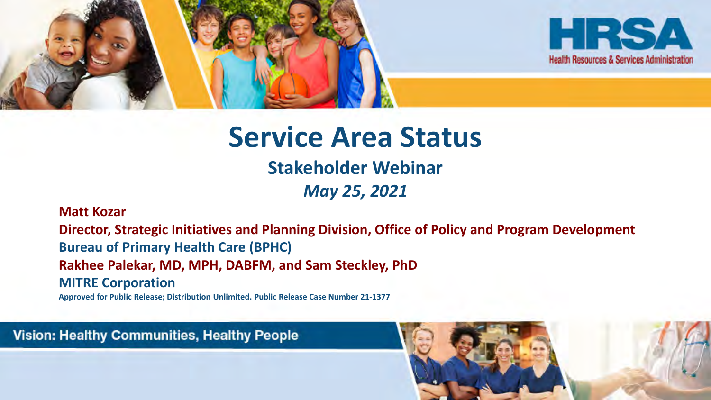

#### **Service Area Status**

#### **Stakeholder Webinar**

*May 25, 2021*

#### **Matt Kozar**

**Director, Strategic Initiatives and Planning Division, Office of Policy and Program Development Bureau of Primary Health Care (BPHC) Rakhee Palekar, MD, MPH, DABFM, and Sam Steckley, PhD MITRE Corporation**

**Approved for Public Release; Distribution Unlimited. Public Release Case Number 21-1377**

Vision: Healthy Communities, Healthy People

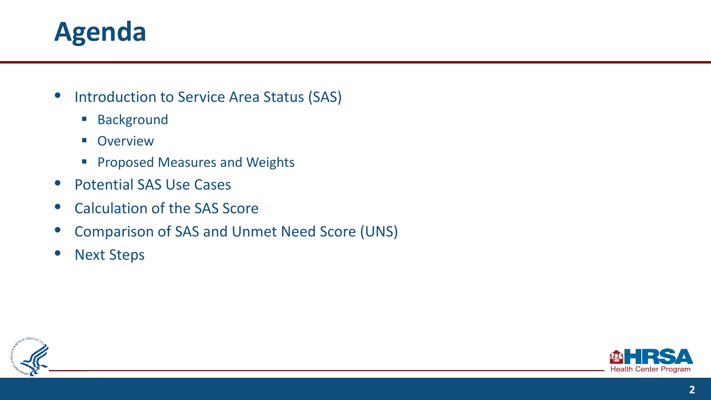#### **Agenda**

- **•** Introduction to Service Area Status (SAS)
	- **Background**
	- **Overview**
	- **Proposed Measures and Weights**
- Potential SAS Use Cases
- Calculation of the SAS Score
- Comparison of SAS and Unmet Need Score (UNS)
- **Next Steps**



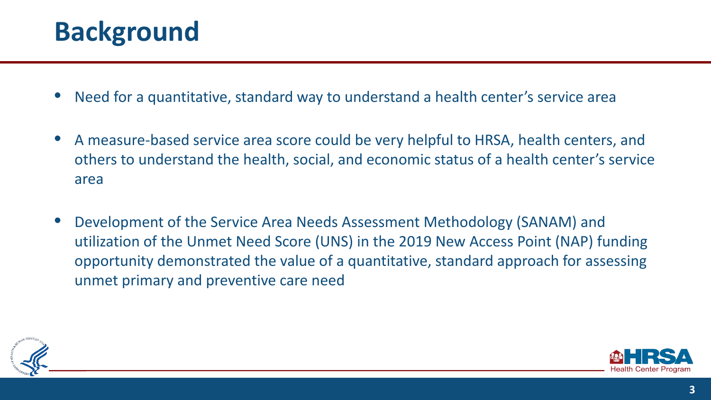#### **Background**

- Need for a quantitative, standard way to understand a health center's service area
- A measure-based service area score could be very helpful to HRSA, health centers, and others to understand the health, social, and economic status of a health center's service area
- Development of the Service Area Needs Assessment Methodology (SANAM) and utilization of the Unmet Need Score (UNS) in the 2019 New Access Point (NAP) funding opportunity demonstrated the value of a quantitative, standard approach for assessing unmet primary and preventive care need



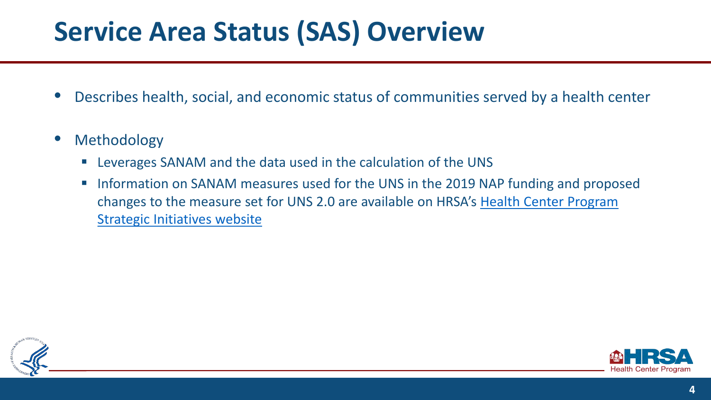### **Service Area Status (SAS) Overview**

- Describes health, social, and economic status of communities served by a health center
- **Methodology** 
	- Leverages SANAM and the data used in the calculation of the UNS
	- **Information on SANAM measures used for the UNS in the 2019 NAP funding and proposed** [changes to the measure set for UNS 2.0 are available on HRSA's Health Center Program](https://bphc.hrsa.gov/programopportunities/strategic-initiatives)  Strategic Initiatives website



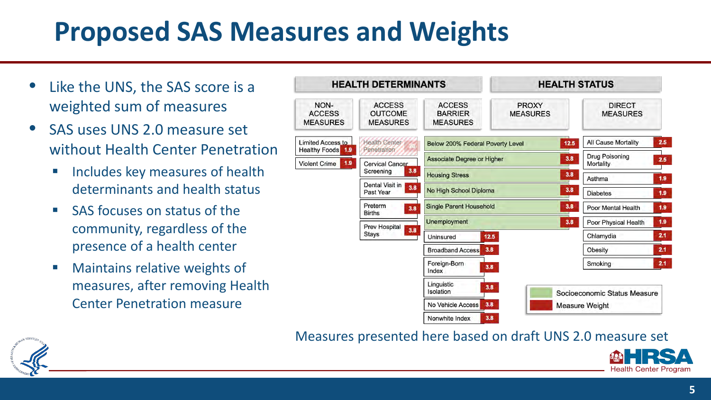## **Proposed SAS Measures and Weights**

- Like the UNS, the SAS score is a weighted sum of measures
- SAS uses UNS 2.0 measure set without Health Center Penetration
	- **Includes key measures of health** determinants and health status
	- **SAS focuses on status of the** community, regardless of the presence of a health center
	- **Naintains relative weights of** measures, after removing Health Center Penetration measure

| <b>HEALTH DETERMINANTS</b>                              |                                                    |                                                    | <b>HEALTH STATUS</b>            |                                    |     |
|---------------------------------------------------------|----------------------------------------------------|----------------------------------------------------|---------------------------------|------------------------------------|-----|
| NON-<br><b>ACCESS</b><br><b>MEASURES</b>                | <b>ACCESS</b><br><b>OUTCOME</b><br><b>MEASURES</b> | <b>ACCESS</b><br><b>BARRIER</b><br><b>MEASURES</b> | <b>PROXY</b><br><b>MEASURES</b> | <b>DIRECT</b><br><b>MEASURES</b>   |     |
| <b>Limited Access to</b><br><b>Healthy Foods</b><br>1.9 | <b>Health Center</b><br>Penetration                | 12.5<br>Below 200% Federal Poverty Level           |                                 | All Cause Mortality                | 2.5 |
| 1.9<br><b>Violent Crime</b>                             | <b>Cervical Cancer</b><br>3.8<br>Screening         | 3.8<br><b>Associate Degree or Higher</b>           |                                 | <b>Drug Poisoning</b><br>Mortality | 2.5 |
|                                                         |                                                    | 3.8<br><b>Housing Stress</b>                       |                                 | Asthma                             | 1.9 |
|                                                         | Dental Visit in<br>3,8<br>Past Year                | 3.8<br>No High School Diploma                      |                                 | <b>Diabetes</b>                    | 1.9 |
|                                                         | Preterm<br>3.8<br><b>Births</b>                    | <b>Single Parent Household</b><br>3.8              |                                 | Poor Mental Health                 | 1.9 |
|                                                         | Prev Hospital<br>3.8<br>Stays                      | Unemployment                                       |                                 | 3.8<br>Poor Physical Health        | 1.9 |
|                                                         |                                                    | 12.5<br>Uninsured                                  |                                 | Chlamydia                          | 2.1 |
|                                                         |                                                    | 3.8<br><b>Broadband Access</b>                     |                                 | Obesity                            | 2.1 |
|                                                         |                                                    | Foreign-Born<br>3.8<br>Index                       |                                 | Smoking                            | 2.1 |
|                                                         |                                                    | Linguistic<br>3.8<br>Isolation                     |                                 | Socioeconomic Status Measure       |     |
|                                                         |                                                    | 3.8<br>No Vehicle Access                           |                                 | Measure Weight                     |     |
|                                                         |                                                    | 3.8<br>Nonwhite Index                              |                                 |                                    |     |

Measures presented here based on draft UNS 2.0 measure set

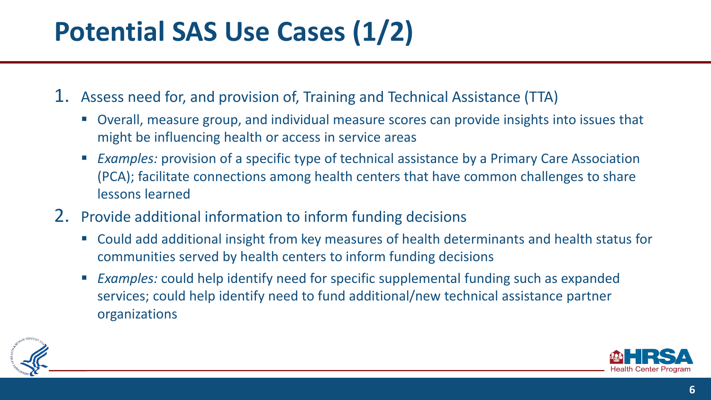# **Potential SAS Use Cases (1/2)**

1. Assess need for, and provision of, Training and Technical Assistance (TTA)

- Overall, measure group, and individual measure scores can provide insights into issues that might be influencing health or access in service areas
- *Examples:* provision of a specific type of technical assistance by a Primary Care Association (PCA); facilitate connections among health centers that have common challenges to share lessons learned
- 2. Provide additional information to inform funding decisions
	- Could add additional insight from key measures of health determinants and health status for communities served by health centers to inform funding decisions
	- *Examples:* could help identify need for specific supplemental funding such as expanded services; could help identify need to fund additional/new technical assistance partner organizations



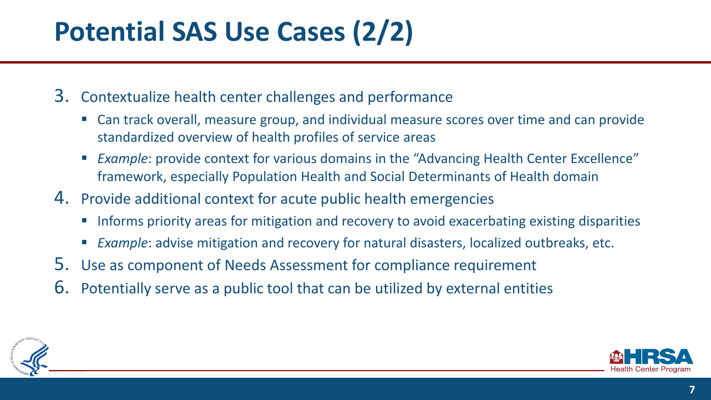# **Potential SAS Use Cases (2/2)**

- 3. Contextualize health center challenges and performance
	- Can track overall, measure group, and individual measure scores over time and can provide standardized overview of health profiles of service areas
	- *Example*: provide context for various domains in the "Advancing Health Center Excellence" framework, especially Population Health and Social Determinants of Health domain
- 4. Provide additional context for acute public health emergencies
	- **IFM** Informs priority areas for mitigation and recovery to avoid exacerbating existing disparities
	- *Example*: advise mitigation and recovery for natural disasters, localized outbreaks, etc.
- 5. Use as component of Needs Assessment for compliance requirement
- 6. Potentially serve as a public tool that can be utilized by external entities



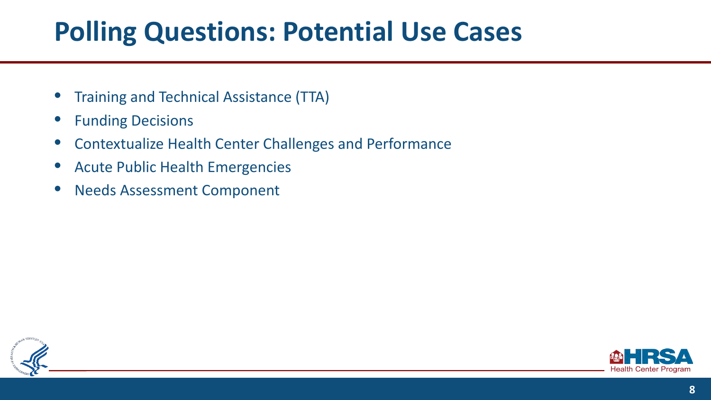#### **Polling Questions: Potential Use Cases**

- Training and Technical Assistance (TTA)
- **Funding Decisions**
- Contextualize Health Center Challenges and Performance
- Acute Public Health Emergencies
- Needs Assessment Component



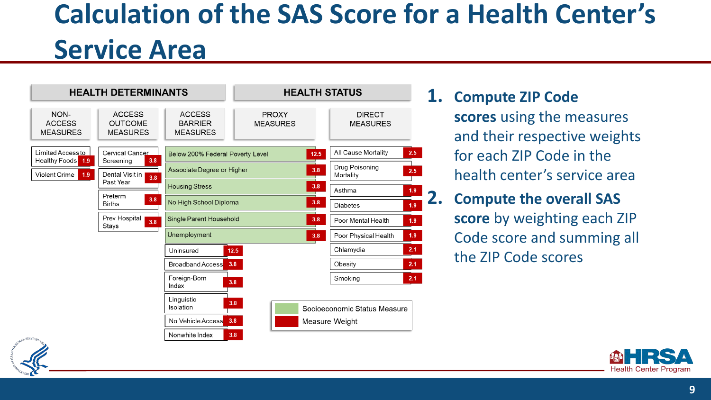# **Calculation of the SAS Score for a Health Center's Service Area**



**1. Compute ZIP Code scores** using the measures and their respective weights for each ZIP Code in the health center's service area

**2. Compute the overall SAS score** by weighting each ZIP Code score and summing all the ZIP Code scores



**9**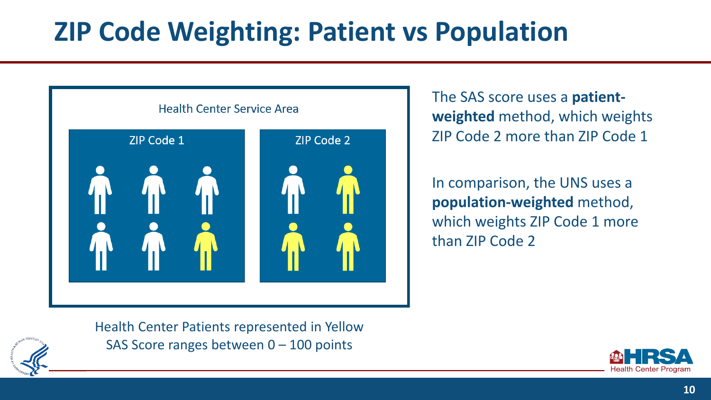# **ZIP Code Weighting: Patient vs Population**



The SAS score uses a **patientweighted** method, which weights ZIP Code 2 more than ZIP Code 1

In comparison, the UNS uses a **population-weighted** method, which weights ZIP Code 1 more than ZIP Code 2



Health Center Patients represented in Yellow SAS Score ranges between 0 – 100 points

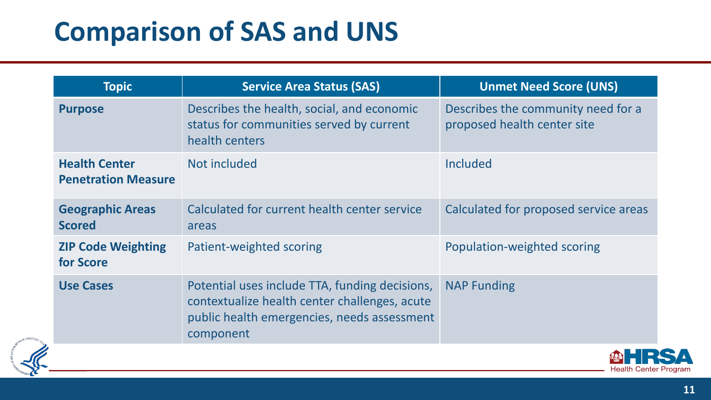## **Comparison of SAS and UNS**

| <b>Topic</b>                                       | <b>Service Area Status (SAS)</b>                                                                                                                            | <b>Unmet Need Score (UNS)</b>                                     |
|----------------------------------------------------|-------------------------------------------------------------------------------------------------------------------------------------------------------------|-------------------------------------------------------------------|
| <b>Purpose</b>                                     | Describes the health, social, and economic<br>status for communities served by current<br>health centers                                                    | Describes the community need for a<br>proposed health center site |
| <b>Health Center</b><br><b>Penetration Measure</b> | Not included                                                                                                                                                | <b>Included</b>                                                   |
| <b>Geographic Areas</b><br><b>Scored</b>           | Calculated for current health center service<br>areas                                                                                                       | Calculated for proposed service areas                             |
| <b>ZIP Code Weighting</b><br>for Score             | Patient-weighted scoring                                                                                                                                    | Population-weighted scoring                                       |
| <b>Use Cases</b>                                   | Potential uses include TTA, funding decisions,<br>contextualize health center challenges, acute<br>public health emergencies, needs assessment<br>component | <b>NAP Funding</b>                                                |



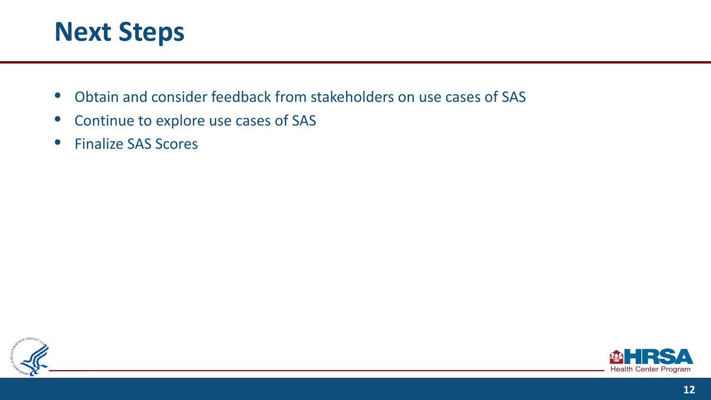

- Obtain and consider feedback from stakeholders on use cases of SAS
- Continue to explore use cases of SAS
- Finalize SAS Scores



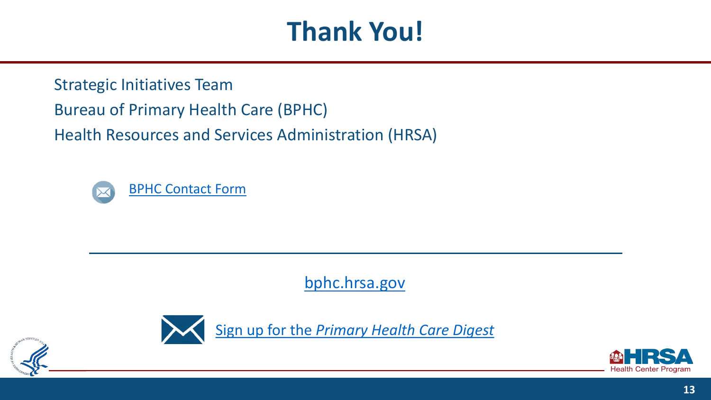## **Thank You!**

Strategic Initiatives Team Bureau of Primary Health Care (BPHC) Health Resources and Services Administration (HRSA)



<bphc.hrsa.gov>



Sign up for the *[Primary Health Care Digest](https://public.govdelivery.com/accounts/USHHSHRSA/subscriber/new?qsp=HRSA-subscribe)* 



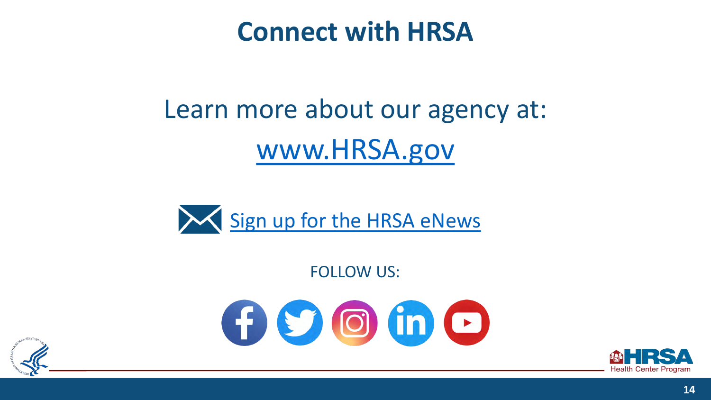#### **Connect with HRSA**

# Learn more about our agency at: [www.HRSA.gov](http://www.hrsa.gov/)



FOLLOW US:

 $G$   $\circ$   $G$   $in$